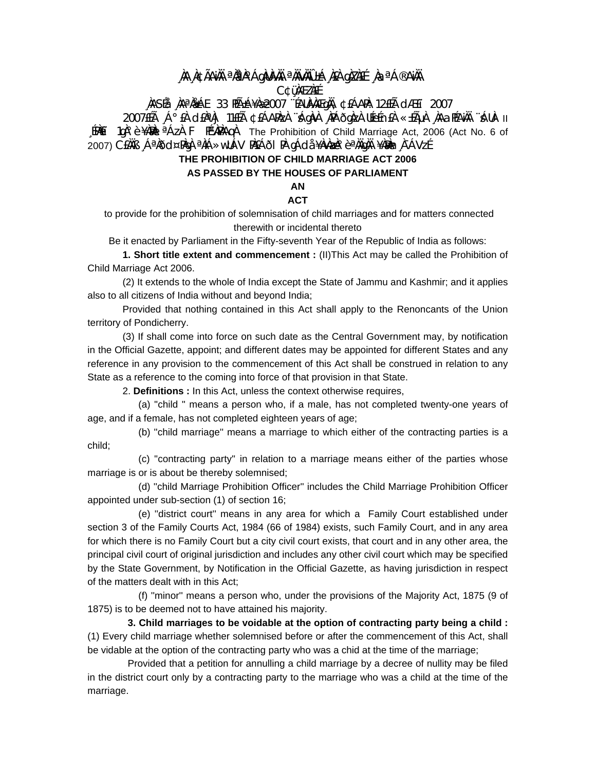# **¸ÀA¸À¢ÃAiÀÄ ªÀåªÀºÁgÀUÀ¼ÀÄ ªÀÄvÀÄÛ ±Á¸À£À gÀZÀ£É ¸ÀaªÁ®AiÀÄ C¢ü¸ÀÆZÀ£É**

# **¸ÀASÉå: ¸ÀAªÀå±ÁE 33 PÉñÁ¥Àæ 2007 ¨ÉAUÀ¼ÀÆgÀÄ, ¢£ÁAPÀ: 12£Éà dÆ£ï 2007**

2007£Éà ¸Á°£À d£ÀªÀj 11£Éà ¢£ÁAPÀzÀ ¨sÁgÀvÀ ¸ÀPÁðgÀzÀ UÉeÉn£À «±ÉõÀ ¸ÀAaPÉAiÀÄ ¨sÁUÀ- II [PAEï 1qÀ°è ¥À脑I <sup>a</sup>ÁzÀ F PɼAPÀAqÀ The Prohibition of Child Marriage Act, 2006 (Act No. 6 of 2007) C£ÀÄB ¸ÁªÀðd¤PÀgÀ ªÀiÁ»wUÁV PÀ£Áðl PÀ gÁdå ¥ÀvÀæÀ°è ªÀÄgÀÄ ¥ÀÐÀn¸À¯ÁVzÉ

## **THE PROHIBITION OF CHILD MARRIAGE ACT 2006**

#### **AS PASSED BY THE HOUSES OF PARLIAMENT**

**AN** 

### **ACT**

 to provide for the prohibition of solemnisation of child marriages and for matters connected therewith or incidental thereto

Be it enacted by Parliament in the Fifty-seventh Year of the Republic of India as follows:

**1. Short title extent and commencement :** (II)This Act may be called the Prohibition of Child Marriage Act 2006.

 (2) It extends to the whole of India except the State of Jammu and Kashmir; and it applies also to all citizens of India without and beyond India;

 Provided that nothing contained in this Act shall apply to the Renoncants of the Union territory of Pondicherry.

 (3) If shall come into force on such date as the Central Government may, by notification in the Official Gazette, appoint; and different dates may be appointed for different States and any reference in any provision to the commencement of this Act shall be construed in relation to any State as a reference to the coming into force of that provision in that State.

2. **Definitions :** In this Act, unless the context otherwise requires,

 (a) ''child '' means a person who, if a male, has not completed twenty-one years of age, and if a female, has not completed eighteen years of age;

 (b) ''child marriage'' means a marriage to which either of the contracting parties is a child;

 (c) ''contracting party'' in relation to a marriage means either of the parties whose marriage is or is about be thereby solemnised;

 (d) ''child Marriage Prohibition Officer'' includes the Child Marriage Prohibition Officer appointed under sub-section (1) of section 16;

 (e) ''district court'' means in any area for which a Family Court established under section 3 of the Family Courts Act, 1984 (66 of 1984) exists, such Family Court, and in any area for which there is no Family Court but a city civil court exists, that court and in any other area, the principal civil court of original jurisdiction and includes any other civil court which may be specified by the State Government, by Notification in the Official Gazette, as having jurisdiction in respect of the matters dealt with in this Act;

 (f) ''minor'' means a person who, under the provisions of the Majority Act, 1875 (9 of 1875) is to be deemed not to have attained his majority.

**3. Child marriages to be voidable at the option of contracting party being a child :** (1) Every child marriage whether solemnised before or after the commencement of this Act, shall be vidable at the option of the contracting party who was a chid at the time of the marriage;

 Provided that a petition for annulling a child marriage by a decree of nullity may be filed in the district court only by a contracting party to the marriage who was a child at the time of the marriage.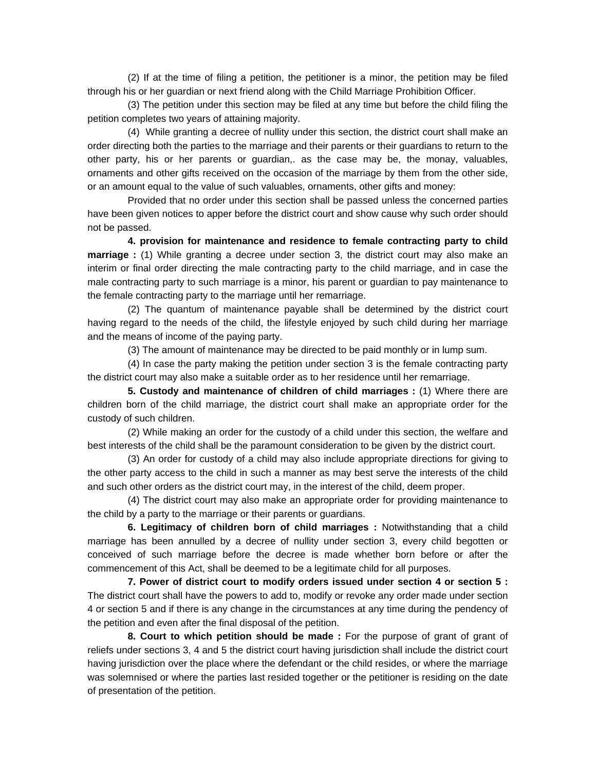(2) If at the time of filing a petition, the petitioner is a minor, the petition may be filed through his or her guardian or next friend along with the Child Marriage Prohibition Officer.

 (3) The petition under this section may be filed at any time but before the child filing the petition completes two years of attaining majority.

 (4) While granting a decree of nullity under this section, the district court shall make an order directing both the parties to the marriage and their parents or their guardians to return to the other party, his or her parents or guardian,. as the case may be, the monay, valuables, ornaments and other gifts received on the occasion of the marriage by them from the other side, or an amount equal to the value of such valuables, ornaments, other gifts and money:

 Provided that no order under this section shall be passed unless the concerned parties have been given notices to apper before the district court and show cause why such order should not be passed.

**4. provision for maintenance and residence to female contracting party to child marriage :** (1) While granting a decree under section 3, the district court may also make an interim or final order directing the male contracting party to the child marriage, and in case the male contracting party to such marriage is a minor, his parent or guardian to pay maintenance to the female contracting party to the marriage until her remarriage.

 (2) The quantum of maintenance payable shall be determined by the district court having regard to the needs of the child, the lifestyle enjoyed by such child during her marriage and the means of income of the paying party.

(3) The amount of maintenance may be directed to be paid monthly or in lump sum.

 (4) In case the party making the petition under section 3 is the female contracting party the district court may also make a suitable order as to her residence until her remarriage.

**5. Custody and maintenance of children of child marriages :** (1) Where there are children born of the child marriage, the district court shall make an appropriate order for the custody of such children.

 (2) While making an order for the custody of a child under this section, the welfare and best interests of the child shall be the paramount consideration to be given by the district court.

 (3) An order for custody of a child may also include appropriate directions for giving to the other party access to the child in such a manner as may best serve the interests of the child and such other orders as the district court may, in the interest of the child, deem proper.

 (4) The district court may also make an appropriate order for providing maintenance to the child by a party to the marriage or their parents or guardians.

**6. Legitimacy of children born of child marriages :** Notwithstanding that a child marriage has been annulled by a decree of nullity under section 3, every child begotten or conceived of such marriage before the decree is made whether born before or after the commencement of this Act, shall be deemed to be a legitimate child for all purposes.

**7. Power of district court to modify orders issued under section 4 or section 5 :** The district court shall have the powers to add to, modify or revoke any order made under section 4 or section 5 and if there is any change in the circumstances at any time during the pendency of the petition and even after the final disposal of the petition.

**8. Court to which petition should be made :** For the purpose of grant of grant of reliefs under sections 3, 4 and 5 the district court having jurisdiction shall include the district court having jurisdiction over the place where the defendant or the child resides, or where the marriage was solemnised or where the parties last resided together or the petitioner is residing on the date of presentation of the petition.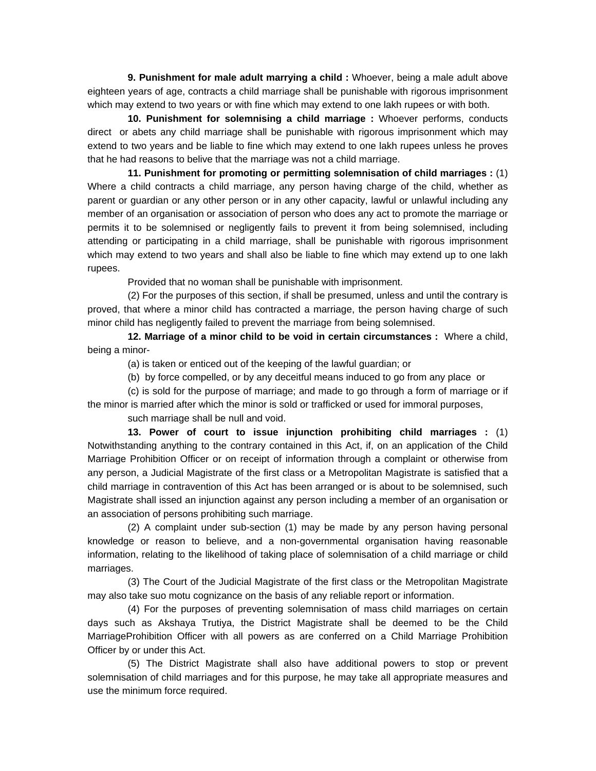**9. Punishment for male adult marrying a child :** Whoever, being a male adult above eighteen years of age, contracts a child marriage shall be punishable with rigorous imprisonment which may extend to two years or with fine which may extend to one lakh rupees or with both.

**10. Punishment for solemnising a child marriage :** Whoever performs, conducts direct or abets any child marriage shall be punishable with rigorous imprisonment which may extend to two years and be liable to fine which may extend to one lakh rupees unless he proves that he had reasons to belive that the marriage was not a child marriage.

**11. Punishment for promoting or permitting solemnisation of child marriages :** (1) Where a child contracts a child marriage, any person having charge of the child, whether as parent or guardian or any other person or in any other capacity, lawful or unlawful including any member of an organisation or association of person who does any act to promote the marriage or permits it to be solemnised or negligently fails to prevent it from being solemnised, including attending or participating in a child marriage, shall be punishable with rigorous imprisonment which may extend to two years and shall also be liable to fine which may extend up to one lakh rupees.

Provided that no woman shall be punishable with imprisonment.

 (2) For the purposes of this section, if shall be presumed, unless and until the contrary is proved, that where a minor child has contracted a marriage, the person having charge of such minor child has negligently failed to prevent the marriage from being solemnised.

**12. Marriage of a minor child to be void in certain circumstances :** Where a child, being a minor-

(a) is taken or enticed out of the keeping of the lawful guardian; or

(b) by force compelled, or by any deceitful means induced to go from any place or

 (c) is sold for the purpose of marriage; and made to go through a form of marriage or if the minor is married after which the minor is sold or trafficked or used for immoral purposes,

such marriage shall be null and void.

**13. Power of court to issue injunction prohibiting child marriages :** (1) Notwithstanding anything to the contrary contained in this Act, if, on an application of the Child Marriage Prohibition Officer or on receipt of information through a complaint or otherwise from any person, a Judicial Magistrate of the first class or a Metropolitan Magistrate is satisfied that a child marriage in contravention of this Act has been arranged or is about to be solemnised, such Magistrate shall issed an injunction against any person including a member of an organisation or an association of persons prohibiting such marriage.

 (2) A complaint under sub-section (1) may be made by any person having personal knowledge or reason to believe, and a non-governmental organisation having reasonable information, relating to the likelihood of taking place of solemnisation of a child marriage or child marriages.

 (3) The Court of the Judicial Magistrate of the first class or the Metropolitan Magistrate may also take suo motu cognizance on the basis of any reliable report or information.

 (4) For the purposes of preventing solemnisation of mass child marriages on certain days such as Akshaya Trutiya, the District Magistrate shall be deemed to be the Child MarriageProhibition Officer with all powers as are conferred on a Child Marriage Prohibition Officer by or under this Act.

 (5) The District Magistrate shall also have additional powers to stop or prevent solemnisation of child marriages and for this purpose, he may take all appropriate measures and use the minimum force required.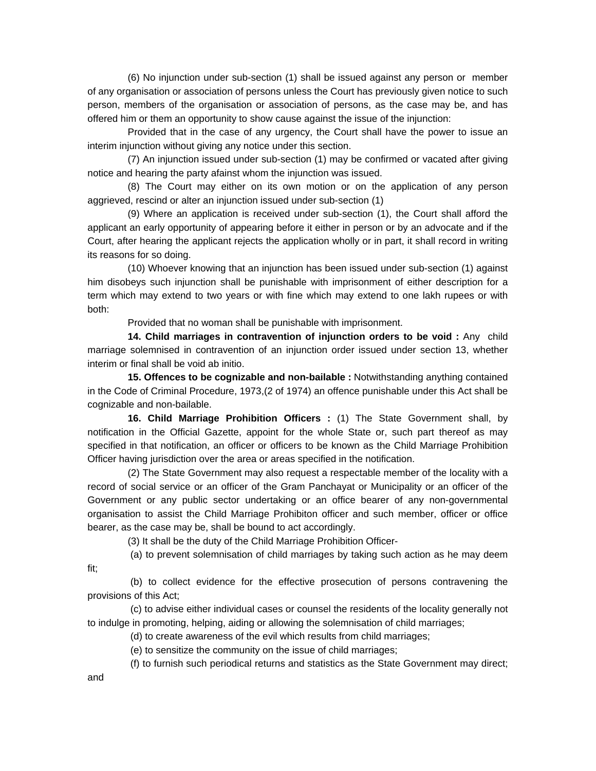(6) No injunction under sub-section (1) shall be issued against any person or member of any organisation or association of persons unless the Court has previously given notice to such person, members of the organisation or association of persons, as the case may be, and has offered him or them an opportunity to show cause against the issue of the injunction:

 Provided that in the case of any urgency, the Court shall have the power to issue an interim injunction without giving any notice under this section.

 (7) An injunction issued under sub-section (1) may be confirmed or vacated after giving notice and hearing the party afainst whom the injunction was issued.

 (8) The Court may either on its own motion or on the application of any person aggrieved, rescind or alter an injunction issued under sub-section (1)

 (9) Where an application is received under sub-section (1), the Court shall afford the applicant an early opportunity of appearing before it either in person or by an advocate and if the Court, after hearing the applicant rejects the application wholly or in part, it shall record in writing its reasons for so doing.

 (10) Whoever knowing that an injunction has been issued under sub-section (1) against him disobeys such injunction shall be punishable with imprisonment of either description for a term which may extend to two years or with fine which may extend to one lakh rupees or with both:

Provided that no woman shall be punishable with imprisonment.

**14. Child marriages in contravention of injunction orders to be void :** Any child marriage solemnised in contravention of an injunction order issued under section 13, whether interim or final shall be void ab initio.

**15. Offences to be cognizable and non-bailable :** Notwithstanding anything contained in the Code of Criminal Procedure, 1973,(2 of 1974) an offence punishable under this Act shall be cognizable and non-bailable.

**16. Child Marriage Prohibition Officers :** (1) The State Government shall, by notification in the Official Gazette, appoint for the whole State or, such part thereof as may specified in that notification, an officer or officers to be known as the Child Marriage Prohibition Officer having jurisdiction over the area or areas specified in the notification.

 (2) The State Government may also request a respectable member of the locality with a record of social service or an officer of the Gram Panchayat or Municipality or an officer of the Government or any public sector undertaking or an office bearer of any non-governmental organisation to assist the Child Marriage Prohibiton officer and such member, officer or office bearer, as the case may be, shall be bound to act accordingly.

(3) It shall be the duty of the Child Marriage Prohibition Officer-

(a) to prevent solemnisation of child marriages by taking such action as he may deem

 (b) to collect evidence for the effective prosecution of persons contravening the provisions of this Act;

 (c) to advise either individual cases or counsel the residents of the locality generally not to indulge in promoting, helping, aiding or allowing the solemnisation of child marriages;

(d) to create awareness of the evil which results from child marriages;

(e) to sensitize the community on the issue of child marriages;

(f) to furnish such periodical returns and statistics as the State Government may direct;

and

fit;